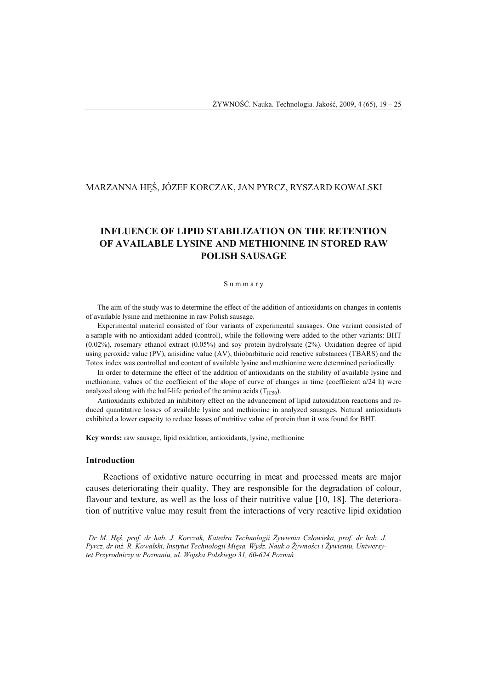# MARZANNA HĘŚ, JÓZEF KORCZAK, JAN PYRCZ, RYSZARD KOWALSKI<sup>1</sup>

# **INFLUENCE OF LIPID STABILIZATION ON THE RETENTION OF AVAILABLE LYSINE AND METHIONINE IN STORED RAW POLISH SAUSAGE**

#### S u m m a r y

The aim of the study was to determine the effect of the addition of antioxidants on changes in contents of available lysine and methionine in raw Polish sausage.

Experimental material consisted of four variants of experimental sausages. One variant consisted of a sample with no antioxidant added (control), while the following were added to the other variants: BHT (0.02%), rosemary ethanol extract (0.05%) and soy protein hydrolysate (2%). Oxidation degree of lipid using peroxide value (PV), anisidine value (AV), thiobarbituric acid reactive substances (TBARS) and the Totox index was controlled and content of available lysine and methionine were determined periodically.

In order to determine the effect of the addition of antioxidants on the stability of available lysine and methionine, values of the coefficient of the slope of curve of changes in time (coefficient a/24 h) were analyzed along with the half-life period of the amino acids  $(T_{IC50})$ .

Antioxidants exhibited an inhibitory effect on the advancement of lipid autoxidation reactions and reduced quantitative losses of available lysine and methionine in analyzed sausages. Natural antioxidants exhibited a lower capacity to reduce losses of nutritive value of protein than it was found for BHT.

**Key words:** raw sausage, lipid oxidation, antioxidants, lysine, methionine

## **Introduction**

 $\overline{a}$ 

Reactions of oxidative nature occurring in meat and processed meats are major causes deteriorating their quality. They are responsible for the degradation of colour, flavour and texture, as well as the loss of their nutritive value [10, 18]. The deterioration of nutritive value may result from the interactions of very reactive lipid oxidation

<sup>1</sup> *Dr M. Hęś, prof. dr hab. J. Korczak, Katedra Technologii Żywienia Człowieka, prof. dr hab. J. Pyrcz, dr inż. R. Kowalski, Instytut Technologii Mięsa, Wydz. Nauk o Żywności i Żywieniu, Uniwersytet Przyrodniczy w Poznaniu, ul. Wojska Polskiego 31, 60-624 Poznań*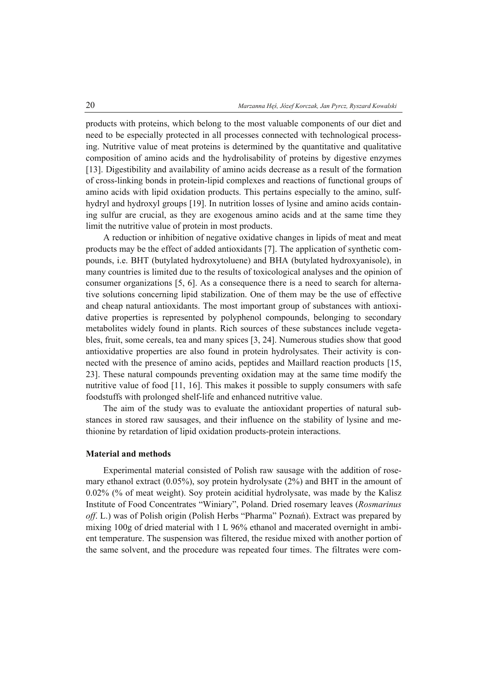products with proteins, which belong to the most valuable components of our diet and need to be especially protected in all processes connected with technological processing. Nutritive value of meat proteins is determined by the quantitative and qualitative composition of amino acids and the hydrolisability of proteins by digestive enzymes [13]. Digestibility and availability of amino acids decrease as a result of the formation of cross-linking bonds in protein-lipid complexes and reactions of functional groups of amino acids with lipid oxidation products. This pertains especially to the amino, sulfhydryl and hydroxyl groups [19]. In nutrition losses of lysine and amino acids containing sulfur are crucial, as they are exogenous amino acids and at the same time they limit the nutritive value of protein in most products.

A reduction or inhibition of negative oxidative changes in lipids of meat and meat products may be the effect of added antioxidants [7]. The application of synthetic compounds, i.e. BHT (butylated hydroxytoluene) and BHA (butylated hydroxyanisole), in many countries is limited due to the results of toxicological analyses and the opinion of consumer organizations [5, 6]. As a consequence there is a need to search for alternative solutions concerning lipid stabilization. One of them may be the use of effective and cheap natural antioxidants. The most important group of substances with antioxidative properties is represented by polyphenol compounds, belonging to secondary metabolites widely found in plants. Rich sources of these substances include vegetables, fruit, some cereals, tea and many spices [3, 24]. Numerous studies show that good antioxidative properties are also found in protein hydrolysates. Their activity is connected with the presence of amino acids, peptides and Maillard reaction products [15, 23]. These natural compounds preventing oxidation may at the same time modify the nutritive value of food [11, 16]. This makes it possible to supply consumers with safe foodstuffs with prolonged shelf-life and enhanced nutritive value.

The aim of the study was to evaluate the antioxidant properties of natural substances in stored raw sausages, and their influence on the stability of lysine and methionine by retardation of lipid oxidation products-protein interactions.

## **Material and methods**

Experimental material consisted of Polish raw sausage with the addition of rosemary ethanol extract (0.05%), soy protein hydrolysate (2%) and BHT in the amount of 0.02% (% of meat weight). Soy protein aciditial hydrolysate, was made by the Kalisz Institute of Food Concentrates "Winiary", Poland. Dried rosemary leaves (*Rosmarinus off*. L.) was of Polish origin (Polish Herbs "Pharma" Poznań). Extract was prepared by mixing 100g of dried material with 1 L 96% ethanol and macerated overnight in ambient temperature. The suspension was filtered, the residue mixed with another portion of the same solvent, and the procedure was repeated four times. The filtrates were com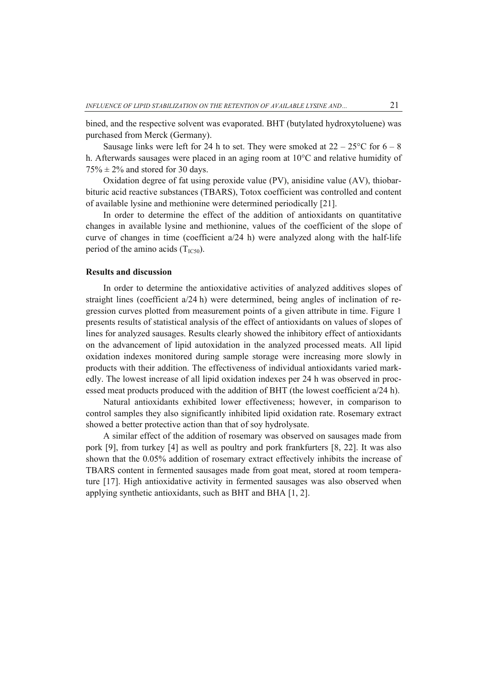bined, and the respective solvent was evaporated. BHT (butylated hydroxytoluene) was purchased from Merck (Germany).

Sausage links were left for 24 h to set. They were smoked at  $22 - 25^{\circ}$  C for  $6 - 8$ h. Afterwards sausages were placed in an aging room at 10°C and relative humidity of  $75\% \pm 2\%$  and stored for 30 days.

Oxidation degree of fat using peroxide value (PV), anisidine value (AV), thiobarbituric acid reactive substances (TBARS), Totox coefficient was controlled and content of available lysine and methionine were determined periodically [21].

In order to determine the effect of the addition of antioxidants on quantitative changes in available lysine and methionine, values of the coefficient of the slope of curve of changes in time (coefficient a/24 h) were analyzed along with the half-life period of the amino acids  $(T_{\text{IC50}})$ .

## **Results and discussion**

In order to determine the antioxidative activities of analyzed additives slopes of straight lines (coefficient a/24 h) were determined, being angles of inclination of regression curves plotted from measurement points of a given attribute in time. Figure 1 presents results of statistical analysis of the effect of antioxidants on values of slopes of lines for analyzed sausages. Results clearly showed the inhibitory effect of antioxidants on the advancement of lipid autoxidation in the analyzed processed meats. All lipid oxidation indexes monitored during sample storage were increasing more slowly in products with their addition. The effectiveness of individual antioxidants varied markedly. The lowest increase of all lipid oxidation indexes per 24 h was observed in processed meat products produced with the addition of BHT (the lowest coefficient a/24 h).

Natural antioxidants exhibited lower effectiveness; however, in comparison to control samples they also significantly inhibited lipid oxidation rate. Rosemary extract showed a better protective action than that of soy hydrolysate.

A similar effect of the addition of rosemary was observed on sausages made from pork [9], from turkey [4] as well as poultry and pork frankfurters [8, 22]. It was also shown that the 0.05% addition of rosemary extract effectively inhibits the increase of TBARS content in fermented sausages made from goat meat, stored at room temperature [17]. High antioxidative activity in fermented sausages was also observed when applying synthetic antioxidants, such as BHT and BHA [1, 2].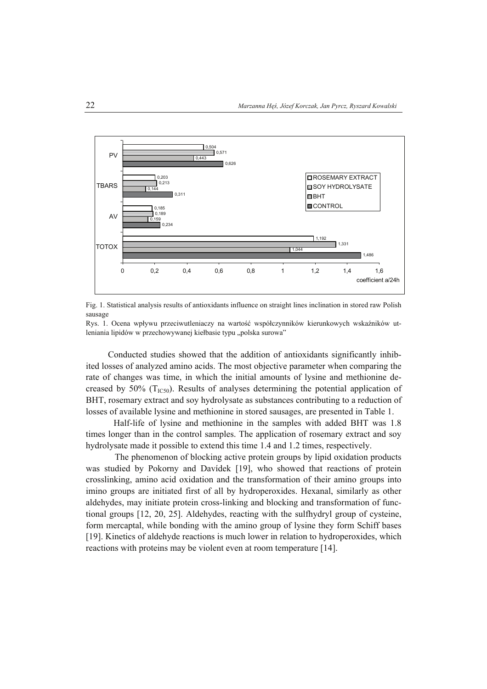



Rys. 1. Ocena wpływu przeciwutleniaczy na wartość współczynników kierunkowych wskaźników utleniania lipidów w przechowywanej kiełbasie typu "polska surowa"

Conducted studies showed that the addition of antioxidants significantly inhibited losses of analyzed amino acids. The most objective parameter when comparing the rate of changes was time, in which the initial amounts of lysine and methionine decreased by 50%  $(T_{\text{IC50}})$ . Results of analyses determining the potential application of BHT, rosemary extract and soy hydrolysate as substances contributing to a reduction of losses of available lysine and methionine in stored sausages, are presented in Table 1.

Half-life of lysine and methionine in the samples with added BHT was 1.8 times longer than in the control samples. The application of rosemary extract and soy hydrolysate made it possible to extend this time 1.4 and 1.2 times, respectively.

The phenomenon of blocking active protein groups by lipid oxidation products was studied by Pokorny and Davídek [19], who showed that reactions of protein crosslinking, amino acid oxidation and the transformation of their amino groups into imino groups are initiated first of all by hydroperoxides. Hexanal, similarly as other aldehydes, may initiate protein cross-linking and blocking and transformation of functional groups [12, 20, 25]. Aldehydes, reacting with the sulfhydryl group of cysteine, form mercaptal, while bonding with the amino group of lysine they form Schiff bases [19]. Kinetics of aldehyde reactions is much lower in relation to hydroperoxides, which reactions with proteins may be violent even at room temperature [14].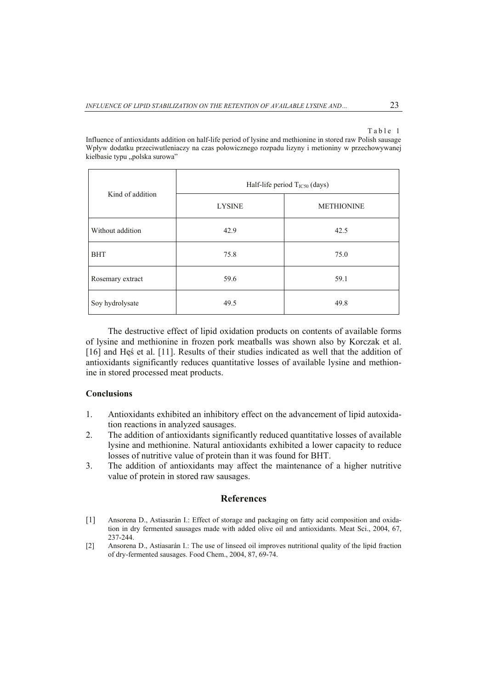#### Table 1

Influence of antioxidants addition on half-life period of lysine and methionine in stored raw Polish sausage Wpływ dodatku przeciwutleniaczy na czas połowicznego rozpadu lizyny i metioniny w przechowywanej kiełbasie typu "polska surowa"

| Kind of addition | Half-life period T <sub>IC50</sub> (days) |                   |
|------------------|-------------------------------------------|-------------------|
|                  | <b>LYSINE</b>                             | <b>METHIONINE</b> |
| Without addition | 42.9                                      | 42.5              |
| <b>BHT</b>       | 75.8                                      | 75.0              |
| Rosemary extract | 59.6                                      | 59.1              |
| Soy hydrolysate  | 49.5                                      | 49.8              |

The destructive effect of lipid oxidation products on contents of available forms of lysine and methionine in frozen pork meatballs was shown also by Korczak et al. [16] and Hęś et al. [11]. Results of their studies indicated as well that the addition of antioxidants significantly reduces quantitative losses of available lysine and methionine in stored processed meat products.

# **Conclusions**

- 1. Antioxidants exhibited an inhibitory effect on the advancement of lipid autoxidation reactions in analyzed sausages.
- 2. The addition of antioxidants significantly reduced quantitative losses of available lysine and methionine. Natural antioxidants exhibited a lower capacity to reduce losses of nutritive value of protein than it was found for BHT.
- 3. The addition of antioxidants may affect the maintenance of a higher nutritive value of protein in stored raw sausages.

## **References**

- [1] Ansorena D., Astiasarán I.: Effect of storage and packaging on fatty acid composition and oxidation in dry fermented sausages made with added olive oil and antioxidants. Meat Sci., 2004, 67, 237-244.
- [2] Ansorena D., Astiasarán I.: The use of linseed oil improves nutritional quality of the lipid fraction of dry-fermented sausages. Food Chem., 2004, 87, 69-74.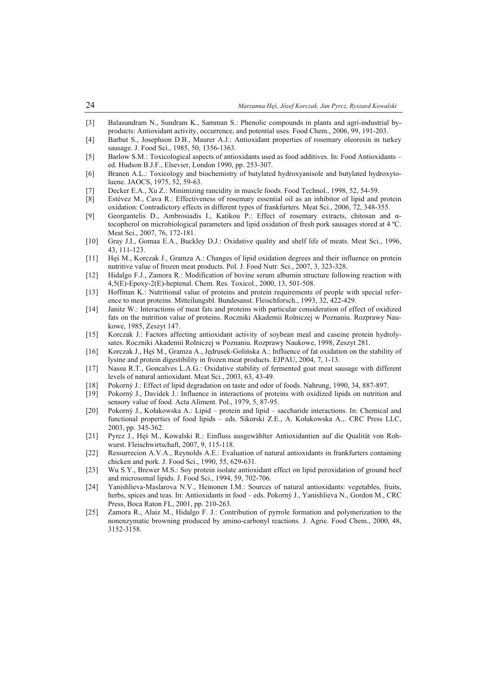- [3] Balasundram N., Sundram K., Samman S.: Phenolic compounds in plants and agri-industrial byproducts: Antioxidant activity, occurrence, and potential uses. Food Chem., 2006, 99, 191-203.
- [4] Barbut S., Josephson D.B., Maurer A.J.: Antioxidant properties of rosemary oleoresin in turkey sausage. J. Food Sci., 1985, 50, 1356-1363.
- [5] Barlow S.M.: Toxicological aspects of antioxidants used as food additives. In: Food Antioxidants ed. Hudson B.J.F., Elsevier, London 1990, pp. 253-307.
- [6] Branen A.L.: Toxicology and biochemistry of butylated hydroxyanisole and butylated hydroxytoluene. JAOCS, 1975, 52, 59-63.
- [7] Decker E.A., Xu Z.: Minimizing rancidity in muscle foods. Food Technol., 1998, 52, 54-59.
- [8] Estévez M., Cava R.: Effectiveness of rosemary essential oil as an inhibitor of lipid and protein oxidation: Contradictory effects in different types of frankfurters. Meat Sci., 2006, 72, 348-355.
- [9] Georgantelis D., Ambrosiadis I., Katikou P.: Effect of rosemary extracts, chitosan and αtocopherol on microbiological parameters and lipid oxidation of fresh pork sausages stored at 4 ºC. Meat Sci., 2007, 76, 172-181.
- [10] Gray J.I., Gomaa E.A., Buckley D.J.: Oxidative quality and shelf life of meats. Meat Sci., 1996, 43, 111-123.
- [11] Hęś M., Korczak J., Gramza A.: Changes of lipid oxidation degrees and their influence on protein nutritive value of frozen meat products. Pol. J. Food Nutr. Sci., 2007, 3, 323-328.
- [12] Hidalgo F.J., Zamora R.: Modification of bovine serum albumin structure following reaction with 4,5(E)-Epoxy-2(E)-heptenal. Chem. Res. Toxicol., 2000, 13, 501-508.
- [13] Hoffman K.: Nutritional value of proteins and protein requirements of people with special reference to meat proteins. Mitteilungsbl. Bundesanst. Fleischforsch., 1993, 32, 422-429.
- [14] Janitz W.: Interactions of meat fats and proteins with particular consideration of effect of oxidized fats on the nutrition value of proteins. Roczniki Akademii Rolniczej w Poznaniu. Rozprawy Naukowe, 1985, Zeszyt 147.
- [15] Korczak J.: Factors affecting antioxidant activity of soybean meal and caseine protein hydrolysates. Roczniki Akademii Rolniczej w Poznaniu. Rozprawy Naukowe, 1998, Zeszyt 281.
- [16] Korczak J., Hęś M., Gramza A., Jędrusek-Golińska A.: Influence of fat oxidation on the stability of lysine and protein digestibility in frozen meat products. EJPAU, 2004, 7, 1-13.
- [17] Nassu R.T., Goncalves L.A.G.: Oxidative stability of fermented goat meat sausage with different levels of natural antioxidant. Meat Sci., 2003, 63, 43-49.
- [18] Pokorný J.: Effect of lipid degradation on taste and odor of foods. Nahrung, 1990, 34, 887-897.
- [19] Pokorný J., Davídek J.: Influence in interactions of proteins with oxidized lipids on nutrition and sensory value of food. Acta Aliment. Pol., 1979, 5, 87-95.
- [20] Pokorný J., Kołakowska A.: Lipid protein and lipid saccharide interactions. In: Chemical and functional properties of food lipids – eds. Sikorski Z.E., A. Kołakowska A.,. CRC Press LLC, 2003, pp. 345-362.
- [21] Pyrcz J., Hęś M., Kowalski R.: Einfluss ausgewählter Antioxidantien auf die Qualität von Rohwurst. Fleischwirtschaft, 2007, 9, 115-118.
- [22] Ressurrecion A.V.A., Reynolds A.E.: Evaluation of natural antioxidants in frankfurters containing chicken and pork. J. Food Sci., 1990, 55, 629-631.
- [23] Wu S.Y., Brewer M.S.: Soy protein isolate antioxidant effect on lipid peroxidation of ground beef and microsomal lipids. J. Food Sci., 1994, 59, 702-706.
- [24] Yanishlieva-Maslarova N.V., Heinonen I.M.: Sources of natural antioxidants: vegetables, fruits, herbs, spices and teas. In: Antioxidants in food – eds. Pokorný J., Yanishlieva N., Gordon M., CRC Press, Boca Raton FL, 2001, pp. 210-263.
- [25] Zamora R., Alaiz M., Hidalgo F. J.: Contribution of pyrrole formation and polymerization to the nonenzymatic browning produced by amino-carbonyl reactions. J. Agric. Food Chem., 2000, 48, 3152-3158.